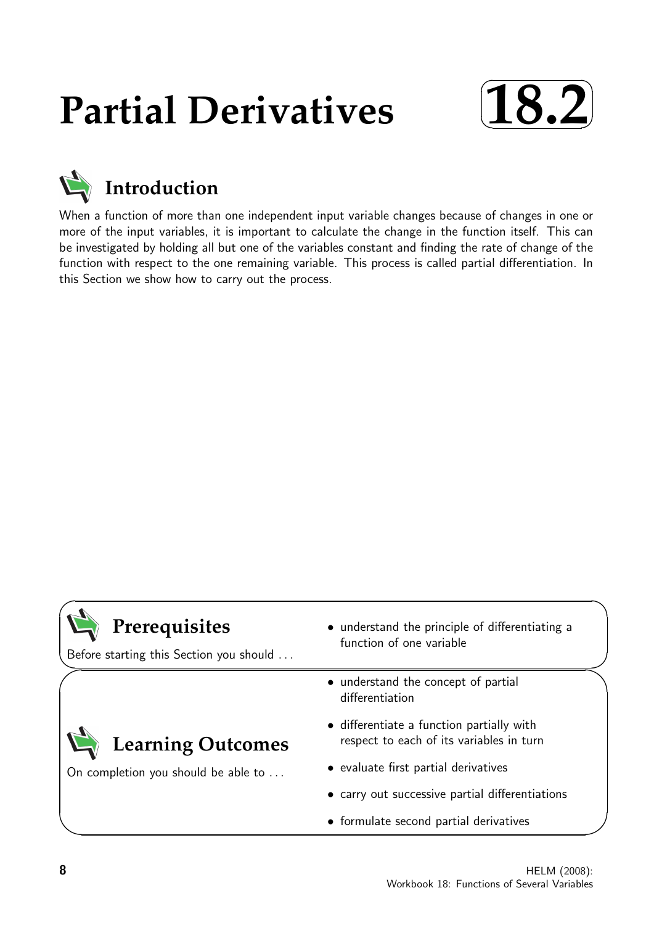# **Partial Derivatives**





When a function of more than one independent input variable changes because of changes in one or more of the input variables, it is important to calculate the change in the function itself. This can be investigated by holding all but one of the variables constant and finding the rate of change of the function with respect to the one remaining variable. This process is called partial differentiation. In this Section we show how to carry out the process.

| Prerequisites<br>Before starting this Section you should | • understand the principle of differentiating a<br>function of one variable           |  |  |  |
|----------------------------------------------------------|---------------------------------------------------------------------------------------|--|--|--|
|                                                          | • understand the concept of partial<br>differentiation                                |  |  |  |
| <b>Learning Outcomes</b>                                 | • differentiate a function partially with<br>respect to each of its variables in turn |  |  |  |
| On completion you should be able to                      | • evaluate first partial derivatives                                                  |  |  |  |
|                                                          | • carry out successive partial differentiations                                       |  |  |  |
|                                                          | • formulate second partial derivatives                                                |  |  |  |

 $\overline{\phantom{0}}$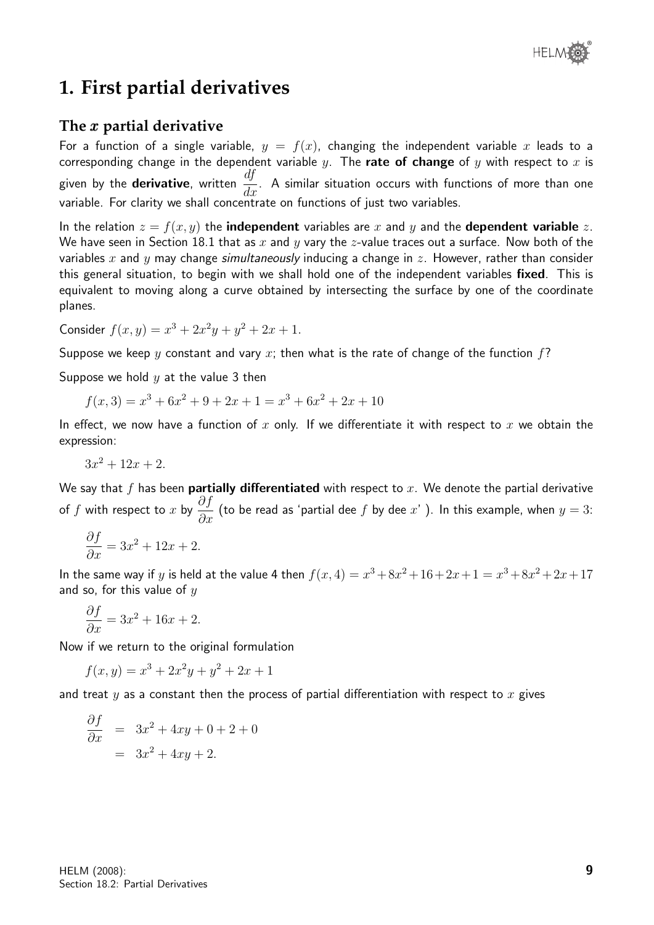# **1. First partial derivatives**

# **The** x **partial derivative**

For a function of a single variable,  $y = f(x)$ , changing the independent variable x leads to a corresponding change in the dependent variable y. The rate of change of y with respect to x is given by the **derivative**, written  $\frac{df}{dt}$  $\frac{dy}{dx}$ . A similar situation occurs with functions of more than one variable. For clarity we shall concentrate on functions of just two variables.

In the relation  $z = f(x, y)$  the **independent** variables are x and y and the **dependent variable** z. We have seen in Section 18.1 that as x and y vary the z-value traces out a surface. Now both of the variables x and y may change *simultaneously* inducing a change in z. However, rather than consider this general situation, to begin with we shall hold one of the independent variables fixed. This is equivalent to moving along a curve obtained by intersecting the surface by one of the coordinate planes.

Consider  $f(x, y) = x^3 + 2x^2y + y^2 + 2x + 1$ .

Suppose we keep y constant and vary x; then what is the rate of change of the function  $f$ ?

Suppose we hold  $y$  at the value 3 then

$$
f(x,3) = x3 + 6x2 + 9 + 2x + 1 = x3 + 6x2 + 2x + 10
$$

In effect, we now have a function of x only. If we differentiate it with respect to x we obtain the expression:

$$
3x^2 + 12x + 2.
$$

We say that f has been **partially differentiated** with respect to  $x$ . We denote the partial derivative of f with respect to x by  $\frac{\partial f}{\partial x}$  $\frac{\partial J}{\partial x}$  (to be read as 'partial dee  $f$  by dee  $x$ '). In this example, when  $y = 3$ :

$$
\frac{\partial f}{\partial x} = 3x^2 + 12x + 2.
$$

In the same way if y is held at the value 4 then  $f(x, 4) = x^3 + 8x^2 + 16 + 2x + 1 = x^3 + 8x^2 + 2x + 17$ and so, for this value of  $y$ 

$$
\frac{\partial f}{\partial x} = 3x^2 + 16x + 2.
$$

Now if we return to the original formulation

 $f(x,y) = x^3 + 2x^2y + y^2 + 2x + 1$ 

and treat  $y$  as a constant then the process of partial differentiation with respect to  $x$  gives

$$
\frac{\partial f}{\partial x} = 3x^2 + 4xy + 0 + 2 + 0
$$

$$
= 3x^2 + 4xy + 2.
$$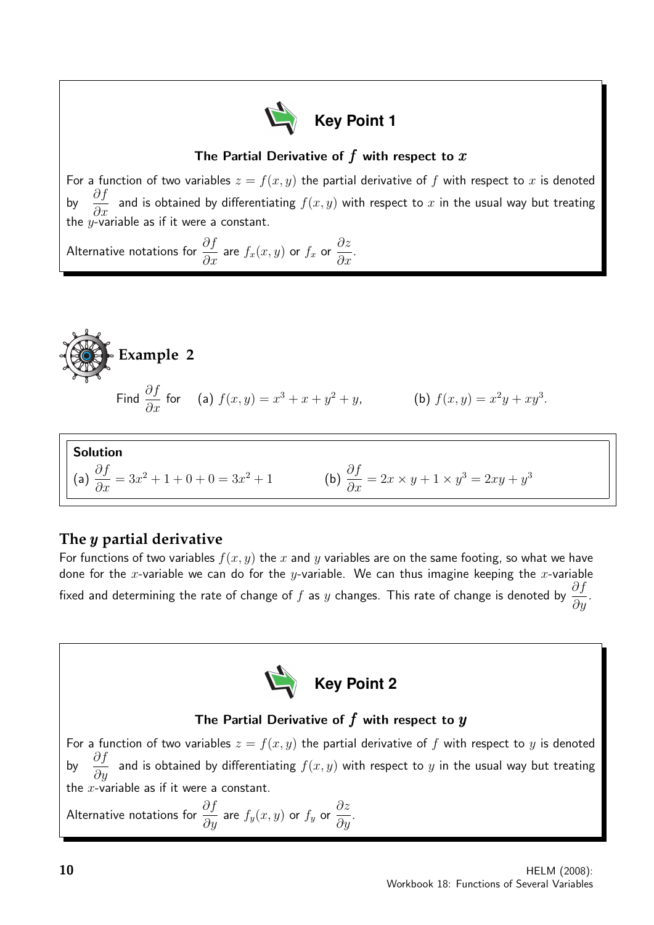

# The Partial Derivative of  $f$  with respect to  $x$

For a function of two variables  $z = f(x, y)$  the partial derivative of f with respect to x is denoted by  $\frac{\partial f}{\partial x}$  $\frac{\partial^2 J}{\partial x}$  and is obtained by differentiating  $f(x, y)$  with respect to  $x$  in the usual way but treating the y-variable as if it were a constant.

Alternative notations for  $\frac{\partial f}{\partial x}$  $\frac{\partial^2 J}{\partial x}$  are  $f_x(x, y)$  or  $f_x$  or ∂z  $\frac{\partial z}{\partial x}$ .



$$
\text{and } \frac{\partial f}{\partial x} \text{ for } \quad \text{(a) } f(x, y) = x^3 + x + y^2 + y, \qquad \qquad \text{(b) } f(x, y) = x^2y + xy^3
$$

Solution  
\n(a) 
$$
\frac{\partial f}{\partial x} = 3x^2 + 1 + 0 + 0 = 3x^2 + 1
$$
  
\n(b)  $\frac{\partial f}{\partial x} = 2x \times y + 1 \times y^3 = 2xy + y^3$ 

# **The** y **partial derivative**

For functions of two variables  $f(x, y)$  the x and y variables are on the same footing, so what we have done for the x-variable we can do for the y-variable. We can thus imagine keeping the x-variable fixed and determining the rate of change of  $f$  as  $y$  changes. This rate of change is denoted by  $\frac{\partial f}{\partial x}$  $rac{\partial y}{\partial y}$ .



# The Partial Derivative of  $f$  with respect to  $y$

For a function of two variables  $z = f(x, y)$  the partial derivative of f with respect to y is denoted by  $\frac{\partial f}{\partial x}$  $\frac{\partial^2 y}{\partial y}$  and is obtained by differentiating  $f(x, y)$  with respect to  $y$  in the usual way but treating the  $x$ -variable as if it were a constant.

Alternative notations for  $\frac{\partial f}{\partial x}$  $\frac{\partial^2 J}{\partial y}$  are  $f_y(x,y)$  or  $f_y$  or ∂z  $rac{\partial z}{\partial y}$ . .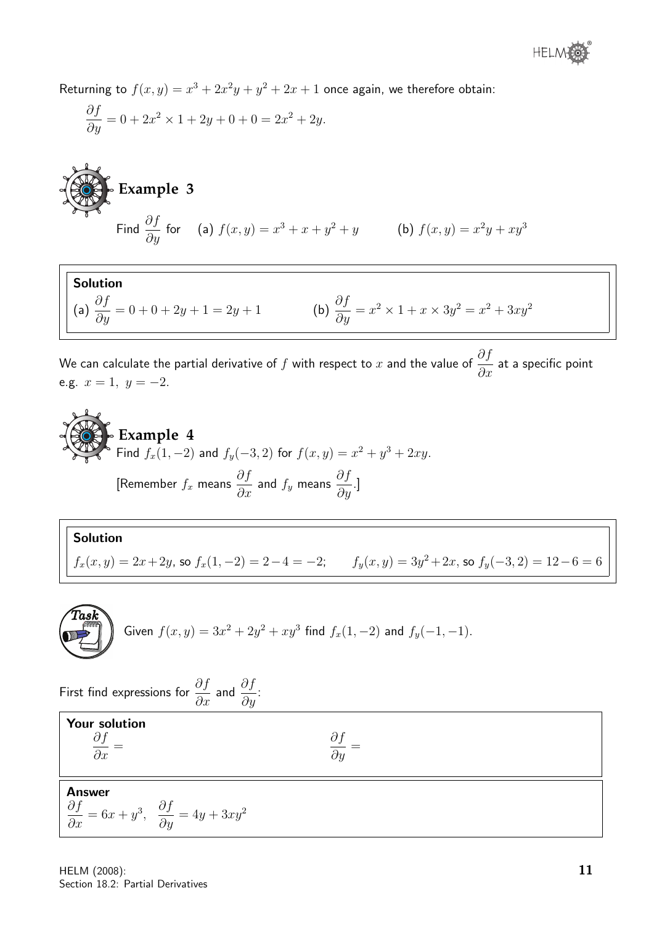Returning to  $f(x,y) = x^3 + 2x^2y + y^2 + 2x + 1$  once again, we therefore obtain:

$$
\frac{\partial f}{\partial y} = 0 + 2x^2 \times 1 + 2y + 0 + 0 = 2x^2 + 2y.
$$

**Example 3**  
Find 
$$
\frac{\partial f}{\partial y}
$$
 for (a)  $f(x, y) = x^3 + x + y^2 + y$  (b)  $f(x, y) = x^2y + xy^3$ 

Solution (a)  $\frac{\partial f}{\partial y} = 0 + 0 + 2y + 1 = 2y + 1$ <br>
(b)  $\frac{\partial f}{\partial y} = x^2 \times 1 + x \times 3y^2 = x^2 + 3xy^2$ 

We can calculate the partial derivative of  $f$  with respect to  $x$  and the value of  $\frac{\partial f}{\partial x}$  $\frac{\partial f}{\partial x}$  at a specific point e.g.  $x = 1, y = -2$ .

**Example 4**  
Find 
$$
f_x(1, -2)
$$
 and  $f_y(-3, 2)$  for  $f(x, y) = x^2 + y^3 + 2xy$ .  
[Remember  $f_x$  means  $\frac{\partial f}{\partial x}$  and  $f_y$  means  $\frac{\partial f}{\partial y}$ .]

# Solution  $f_x(x,y) = 2x + 2y$ , so  $f_x(1,-2) = 2-4 = -2$ ;  $f_y(x,y) = 3y^2 + 2x$ , so  $f_y(-3,2) = 12-6 = 6$

Given 
$$
f(x,y) = 3x^2 + 2y^2 + xy^3
$$
 find  $f_x(1,-2)$  and  $f_y(-1,-1)$ .

First find expressions for  $\frac{\partial f}{\partial x}$  and  $\frac{\partial f}{\partial y}$ : Your solution ∂f  $rac{\partial y}{\partial x} =$ ∂f  $rac{\partial y}{\partial y} =$ Answer ∂f  $\frac{\partial y}{\partial x} = 6x + y^3,$  $\frac{\partial f}{\partial y} = 4y + 3xy^2$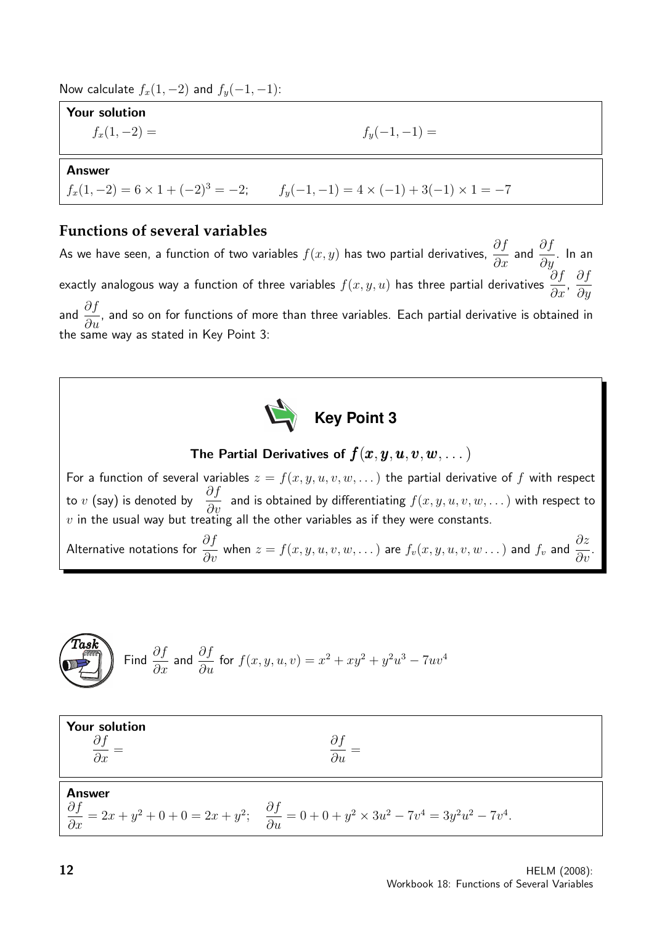Now calculate  $f_x(1, -2)$  and  $f_y(-1, -1)$ :

Your solution  $f_x(1, -2) = f_y(-1, -1) =$ 

#### Answer

 $f_x(1, -2) = 6 \times 1 + (-2)^3 = -2;$   $f_y(-1, -1) = 4 \times (-1) + 3(-1) \times 1 = -7$ 

## **Functions of several variables**

As we have seen, a function of two variables  $f(x,y)$  has two partial derivatives,  $\frac{\partial f}{\partial x}$  and  $\frac{\partial f}{\partial y}$ . In an exactly analogous way a function of three variables  $f(x,y,u)$  has three partial derivatives  $\frac{\partial f}{\partial x}$  $rac{\partial f}{\partial x}$ , ∂f  $\partial y$ and  $\frac{\partial f}{\partial x}$  $\frac{\partial J}{\partial u}$ , and so on for functions of more than three variables. Each partial derivative is obtained in the same way as stated in Key Point 3:

**Key Point 3**

The Partial Derivatives of  $f(x, y, u, v, w, \dots)$ 

For a function of several variables  $z = f(x, y, u, v, w, ...)$  the partial derivative of f with respect to  $v$  (say) is denoted by  $\frac{\partial f}{\partial x}$  $\frac{\partial^2 y}{\partial v}$  and is obtained by differentiating  $f(x, y, u, v, w, \dots)$  with respect to  $v$  in the usual way but treating all the other variables as if they were constants.

Alternative notations for  $\frac{\partial f}{\partial v}$  when  $z=f(x,y,u,v,w,\dots)$  are  $f_v(x,y,u,v,w\dots)$  and  $f_v$  and  $\frac{\partial z}{\partial v}.$ 

$$
\left(\begin{matrix}\text{Task} \\ \text{Final} \end{matrix}\right) \text{ Find } \frac{\partial f}{\partial x} \text{ and } \frac{\partial f}{\partial u} \text{ for } f(x, y, u, v) = x^2 + xy^2 + y^2u^3 - 7uv^4
$$

| <b>Your solution</b><br>$\partial x$ | дu                                                                                                                                                |
|--------------------------------------|---------------------------------------------------------------------------------------------------------------------------------------------------|
| Answer                               | $\frac{\partial f}{\partial x} = 2x + y^2 + 0 + 0 = 2x + y^2;$ $\frac{\partial f}{\partial y} = 0 + 0 + y^2 \times 3u^2 - 7v^4 = 3y^2u^2 - 7v^4.$ |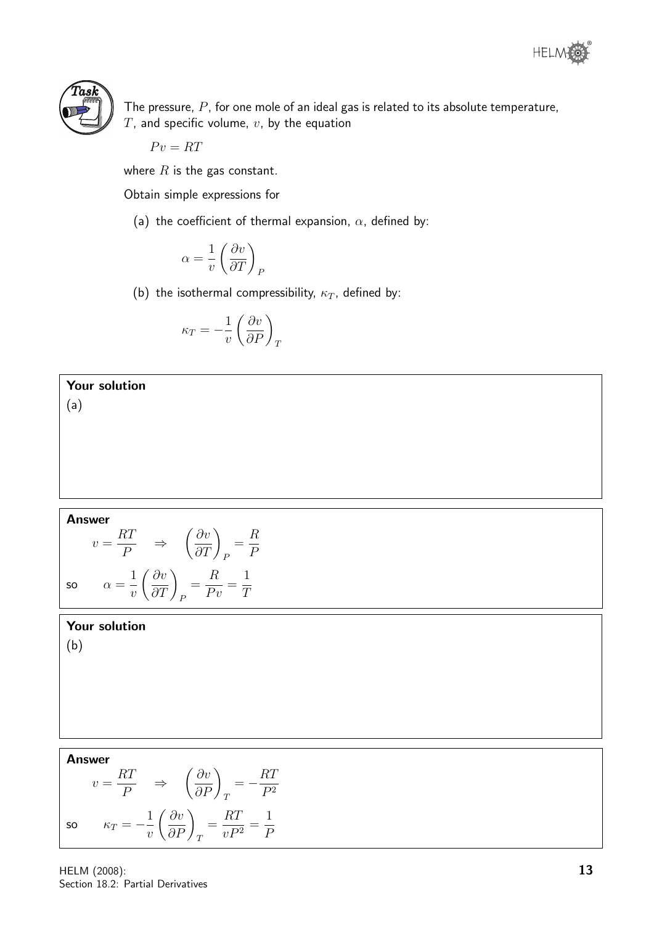



The pressure,  $P$ , for one mole of an ideal gas is related to its absolute temperature,  $T$ , and specific volume,  $v$ , by the equation

$$
Pv = RT
$$

where  $R$  is the gas constant.

Obtain simple expressions for

(a) the coefficient of thermal expansion,  $\alpha$ , defined by:

$$
\alpha = \frac{1}{v} \left( \frac{\partial v}{\partial T} \right)_F
$$

(b) the isothermal compressibility,  $\kappa_T$ , defined by:

$$
\kappa_T = -\frac{1}{v} \left( \frac{\partial v}{\partial P} \right )_T
$$

Your solution (a)

#### Answer

$$
v = \frac{RT}{P} \Rightarrow \left(\frac{\partial v}{\partial T}\right)_P = \frac{R}{P}
$$
  
so  $\alpha = \frac{1}{v} \left(\frac{\partial v}{\partial T}\right)_P = \frac{R}{Pv} = \frac{1}{T}$ 

#### Your solution

(b)

# Answer

$$
v = \frac{RT}{P} \Rightarrow \left(\frac{\partial v}{\partial P}\right)_T = -\frac{RT}{P^2}
$$
  
so  $\kappa_T = -\frac{1}{v} \left(\frac{\partial v}{\partial P}\right)_T = \frac{RT}{vP^2} = \frac{1}{P}$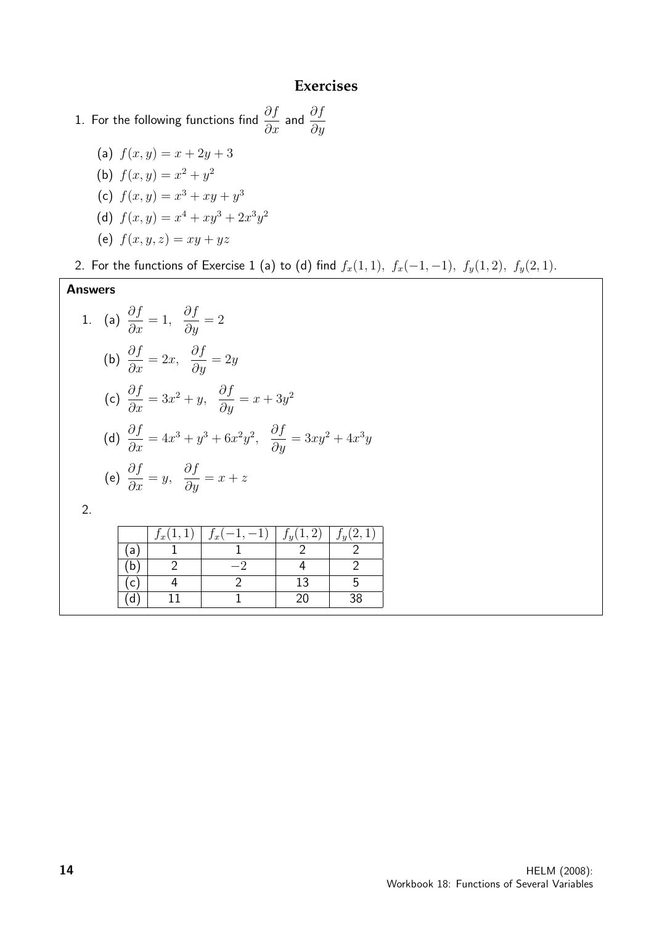#### **Exercises**

1. For the following functions find  $\displaystyle{\frac{\partial f}{\partial x}}$  and  $\displaystyle{\frac{\partial f}{\partial y}}$ 

(a)  $f(x, y) = x + 2y + 3$ (b)  $f(x, y) = x^2 + y^2$ (c)  $f(x, y) = x^3 + xy + y^3$ (d)  $f(x,y) = x^4 + xy^3 + 2x^3y^2$ (e)  $f(x, y, z) = xy + yz$ 

2. For the functions of Exercise 1 (a) to (d) find  $f_x(1, 1)$ ,  $f_x(-1, -1)$ ,  $f_y(1, 2)$ ,  $f_y(2, 1)$ .

#### Answers 1. (a)  $\frac{\partial f}{\partial x}$  $\frac{\partial y}{\partial x} = 1,$ ∂f  $\frac{\partial y}{\partial y} = 2$ (b)  $\frac{\partial f}{\partial x}$  $\frac{\partial y}{\partial x} = 2x,$ ∂f  $\frac{\partial y}{\partial y} = 2y$ (c)  $\frac{\partial f}{\partial x}$  $\frac{\partial f}{\partial x} = 3x^2 + y, \ \ \frac{\partial f}{\partial y}$  $\frac{\partial y}{\partial y} = x + 3y^2$ (d)  $\frac{\partial f}{\partial x}$  $\frac{\partial y}{\partial x} = 4x^3 + y^3 + 6x^2y^2,$  $\frac{\partial f}{\partial y} = 3xy^2 + 4x^3y$ (e)  $\frac{\partial f}{\partial x}$  $\frac{\partial y}{\partial x} = y,$ ∂f  $rac{\delta y}{\partial y} = x + z$ 2.  $f_x(1,1)$  |  $f_x(-1,-1)$  |  $f_y(1,2)$  |  $f_y(2,1)$

|   | Jx | ٠<br>Jx | റ<br>(1)<br>o | $f(0)$ 1 |
|---|----|---------|---------------|----------|
| a |    |         |               |          |
| b |    | —`      |               |          |
|   |    |         | ∸             |          |
| a |    |         |               | 38       |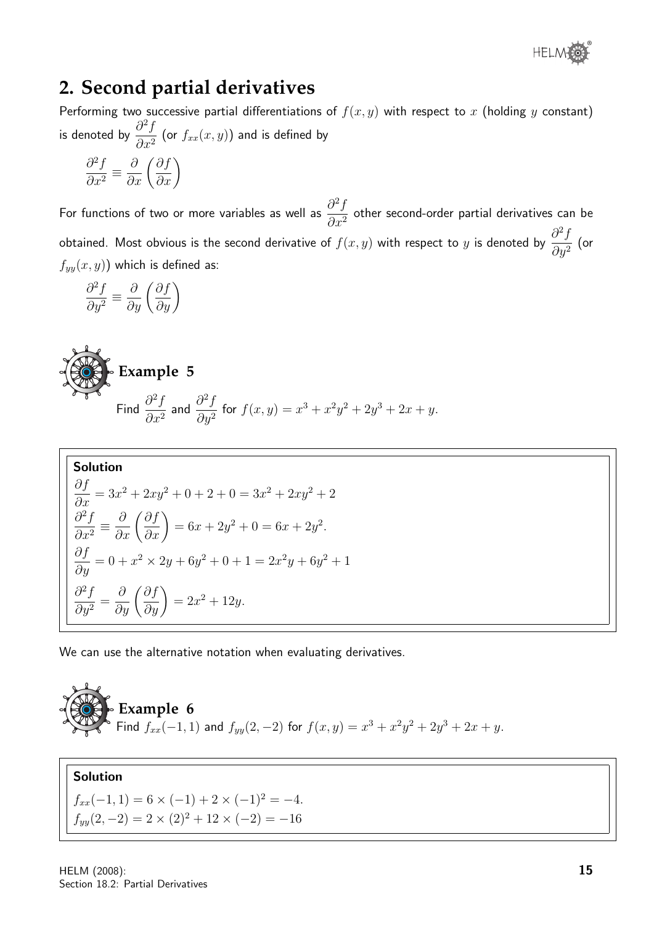

# **2. Second partial derivatives**

Performing two successive partial differentiations of  $f(x, y)$  with respect to x (holding y constant) is denoted by  $\frac{\partial^2 f}{\partial x^2}$  $\frac{\partial^2 J}{\partial x^2}$  (or  $f_{xx}(x,y)$ ) and is defined by

$$
\frac{\partial^2 f}{\partial x^2} \equiv \frac{\partial}{\partial x} \left( \frac{\partial f}{\partial x} \right)
$$

For functions of two or more variables as well as  $\frac{\partial^2 f}{\partial x^2}$  $\frac{\partial^2 J}{\partial x^2}$  other second-order partial derivatives can be obtained. Most obvious is the second derivative of  $f(x, y)$  with respect to y is denoted by  $\frac{\partial^2 f}{\partial x^2}$  $\frac{\partial^2 J}{\partial y^2}$  (or  $f_{yy}(x, y)$ ) which is defined as:

$$
\frac{\partial^2 f}{\partial y^2} \equiv \frac{\partial}{\partial y} \left( \frac{\partial f}{\partial y} \right)
$$



Find 
$$
\frac{\partial^2 f}{\partial x^2}
$$
 and  $\frac{\partial^2 f}{\partial y^2}$  for  $f(x, y) = x^3 + x^2y^2 + 2y^3 + 2x + y$ .

Solution  
\n
$$
\frac{\partial f}{\partial x} = 3x^2 + 2xy^2 + 0 + 2 + 0 = 3x^2 + 2xy^2 + 2
$$
\n
$$
\frac{\partial^2 f}{\partial x^2} = \frac{\partial}{\partial x} \left( \frac{\partial f}{\partial x} \right) = 6x + 2y^2 + 0 = 6x + 2y^2.
$$
\n
$$
\frac{\partial f}{\partial y} = 0 + x^2 \times 2y + 6y^2 + 0 + 1 = 2x^2y + 6y^2 + 1
$$
\n
$$
\frac{\partial^2 f}{\partial y^2} = \frac{\partial}{\partial y} \left( \frac{\partial f}{\partial y} \right) = 2x^2 + 12y.
$$

We can use the alternative notation when evaluating derivatives.

**Example 6**  
Find 
$$
f_{xx}(-1, 1)
$$
 and  $f_{yy}(2, -2)$  for  $f(x, y) = x^3 + x^2y^2 + 2y^3 + 2x + y$ .

## Solution

 $f_{xx}(-1, 1) = 6 \times (-1) + 2 \times (-1)^2 = -4.$  $f_{yy}(2, -2) = 2 \times (2)^2 + 12 \times (-2) = -16$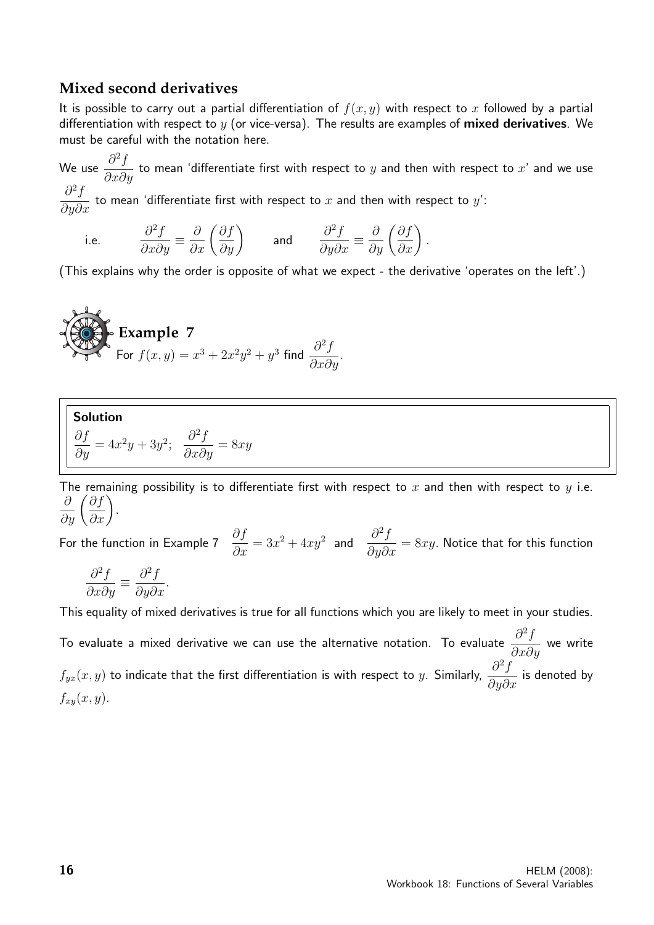#### **Mixed second derivatives**

It is possible to carry out a partial differentiation of  $f(x, y)$  with respect to x followed by a partial differentiation with respect to  $y$  (or vice-versa). The results are examples of **mixed derivatives**. We must be careful with the notation here.

We use  $\frac{\partial^2 f}{\partial x^2}$  $\frac{\partial^2 J}{\partial x \partial y}$  to mean 'differentiate first with respect to  $y$  and then with respect to  $x'$  and we use  $\partial^2 f$  $\frac{\partial^2 J}{\partial y \partial x}$  to mean 'differentiate first with respect to  $x$  and then with respect to  $y'$ :

i.e. 
$$
\frac{\partial^2 f}{\partial x \partial y} \equiv \frac{\partial}{\partial x} \left( \frac{\partial f}{\partial y} \right)
$$
 and  $\frac{\partial^2 f}{\partial y \partial x} \equiv \frac{\partial}{\partial y} \left( \frac{\partial f}{\partial x} \right)$ .

(This explains why the order is opposite of what we expect - the derivative 'operates on the left'.)

**Example 7**  
For 
$$
f(x,y) = x^3 + 2x^2y^2 + y^3
$$
 find  $\frac{\partial^2 f}{\partial x \partial y}$ .

**Solution**  
\n
$$
\frac{\partial f}{\partial y} = 4x^2y + 3y^2;
$$
  $\frac{\partial^2 f}{\partial x \partial y} = 8xy$ 

The remaining possibility is to differentiate first with respect to  $x$  and then with respect to  $y$  i.e.  $\frac{\partial}{\partial y}\left(\frac{\partial f}{\partial x}\right)$ .

For the function in Example 7  $\frac{\partial f}{\partial \theta}$  $\frac{\partial f}{\partial x} = 3x^2 + 4xy^2$  and  $\frac{\partial^2 f}{\partial y \partial x}$  $\frac{\partial^2 J}{\partial y \partial x} = 8xy$ . Notice that for this function

$$
\frac{\partial^2 f}{\partial x \partial y} \equiv \frac{\partial^2 f}{\partial y \partial x}.
$$

This equality of mixed derivatives is true for all functions which you are likely to meet in your studies.

To evaluate a mixed derivative we can use the alternative notation. To evaluate  $\frac{\partial^2 f}{\partial x \partial y}$  $\frac{\partial}{\partial x \partial y}$  we write  $f_{yx}(x,y)$  to indicate that the first differentiation is with respect to  $y$ . Similarly,  $\frac{\partial^2 f}{\partial x \cdot \partial y}$  $\frac{\partial^2 J}{\partial y \partial x}$  is denoted by  $f_{xy}(x, y)$ .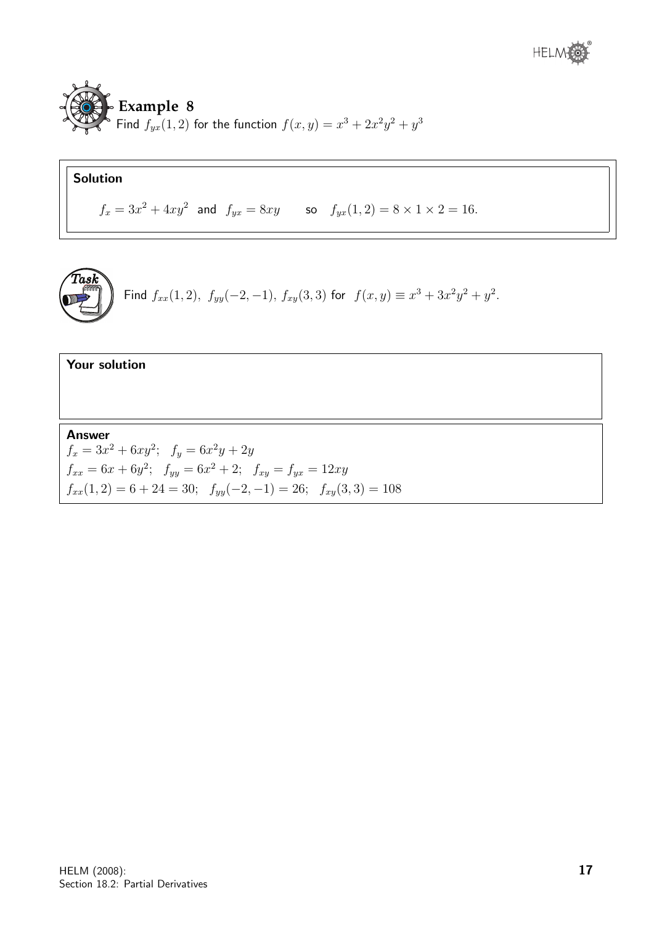

# Solution

 $f_x = 3x^2 + 4xy^2$  and  $f_{yx} = 8xy$  so  $f_{yx}(1, 2) = 8 \times 1 \times 2 = 16$ .



Find 
$$
f_{xx}(1,2)
$$
,  $f_{yy}(-2,-1)$ ,  $f_{xy}(3,3)$  for  $f(x,y) \equiv x^3 + 3x^2y^2 + y^2$ .

#### Your solution

Answer  $f_x = 3x^2 + 6xy^2; \quad f_y = 6x^2y + 2y$  $f_{xx} = 6x + 6y^2$ ;  $f_{yy} = 6x^2 + 2$ ;  $f_{xy} = f_{yx} = 12xy$  $f_{xx}(1,2) = 6 + 24 = 30;$   $f_{yy}(-2,-1) = 26;$   $f_{xy}(3,3) = 108$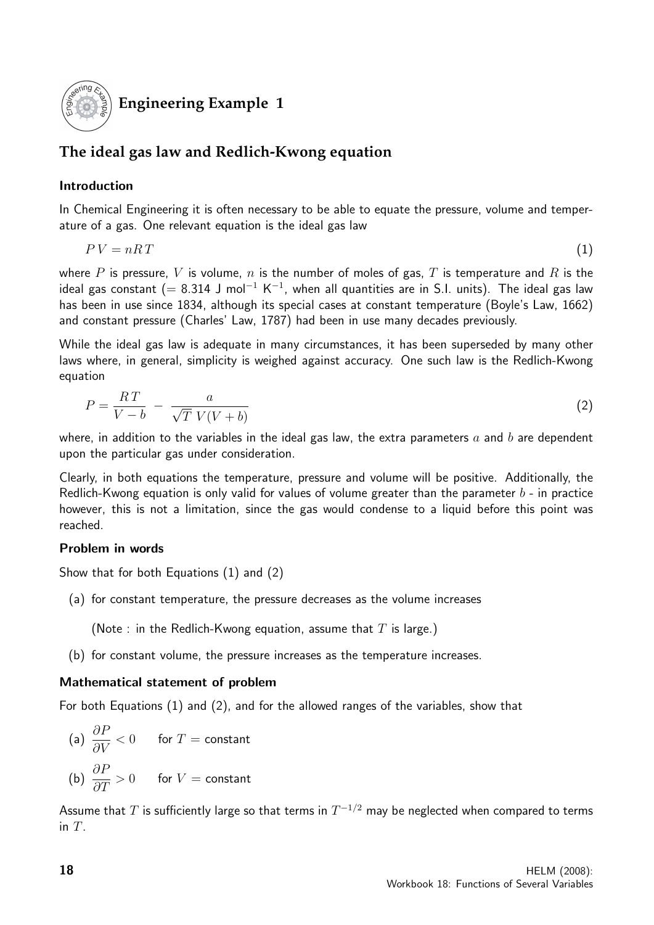

**Engineering Example 1**

# **The ideal gas law and Redlich-Kwong equation**

### Introduction

In Chemical Engineering it is often necessary to be able to equate the pressure, volume and temperature of a gas. One relevant equation is the ideal gas law

$$
PV = nRT \tag{1}
$$

where P is pressure, V is volume, n is the number of moles of gas, T is temperature and R is the ideal gas constant (= 8.314 J mol $^{-1}$  K $^{-1}$ , when all quantities are in S.I. units). The ideal gas law has been in use since 1834, although its special cases at constant temperature (Boyle's Law, 1662) and constant pressure (Charles' Law, 1787) had been in use many decades previously.

While the ideal gas law is adequate in many circumstances, it has been superseded by many other laws where, in general, simplicity is weighed against accuracy. One such law is the Redlich-Kwong equation

$$
P = \frac{RT}{V - b} - \frac{a}{\sqrt{T} V(V + b)}
$$
\n<sup>(2)</sup>

where, in addition to the variables in the ideal gas law, the extra parameters  $a$  and  $b$  are dependent upon the particular gas under consideration.

Clearly, in both equations the temperature, pressure and volume will be positive. Additionally, the Redlich-Kwong equation is only valid for values of volume greater than the parameter  $b$  - in practice however, this is not a limitation, since the gas would condense to a liquid before this point was reached.

#### Problem in words

Show that for both Equations (1) and (2)

(a) for constant temperature, the pressure decreases as the volume increases

(Note : in the Redlich-Kwong equation, assume that  $T$  is large.)

(b) for constant volume, the pressure increases as the temperature increases.

#### Mathematical statement of problem

For both Equations (1) and (2), and for the allowed ranges of the variables, show that

(a) 
$$
\frac{\partial P}{\partial V} < 0
$$
 for  $T = \text{constant}$   
(b)  $\frac{\partial P}{\partial T} > 0$  for  $V = \text{constant}$ 

Assume that  $T$  is sufficiently large so that terms in  $T^{\rm -1/2}$  may be neglected when compared to terms in  $T$ .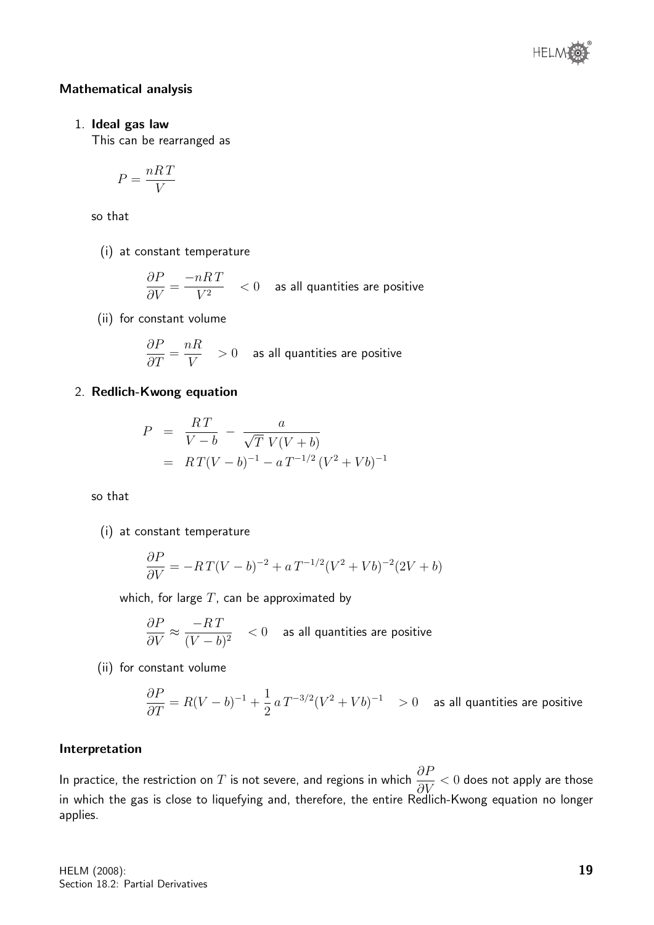

#### Mathematical analysis

#### 1. Ideal gas law

This can be rearranged as

$$
P = \frac{nRT}{V}
$$

so that

(i) at constant temperature

$$
\frac{\partial P}{\partial V} = \frac{-nRT}{V^2} < 0 \quad \text{ as all quantities are positive}
$$

(ii) for constant volume

$$
\frac{\partial P}{\partial T} = \frac{nR}{V} > 0
$$
 as all quantities are positive

#### 2. Redlich-Kwong equation

$$
P = \frac{RT}{V - b} - \frac{a}{\sqrt{T} V(V + b)}
$$
  
=  $RT(V - b)^{-1} - aT^{-1/2} (V^2 + Vb)^{-1}$ 

so that

(i) at constant temperature

$$
\frac{\partial P}{\partial V} = -RT(V-b)^{-2} + a T^{-1/2}(V^2 + Vb)^{-2}(2V + b)
$$

which, for large  $T$ , can be approximated by

$$
\frac{\partial P}{\partial V} \approx \frac{-RT}{(V-b)^2} \quad < 0 \quad \text{ as all quantities are positive}
$$

(ii) for constant volume

$$
\frac{\partial P}{\partial T} = R(V-b)^{-1} + \frac{1}{2} a T^{-3/2} (V^2 + Vb)^{-1} > 0 \quad \text{ as all quantities are positive}
$$

#### Interpretation

In practice, the restriction on  $T$  is not severe, and regions in which  $\frac{\partial F}{\partial \mathbf{V}}$  $\frac{\partial^2 V}{\partial V} < 0$  does not apply are those in which the gas is close to liquefying and, therefore, the entire Redlich-Kwong equation no longer applies.